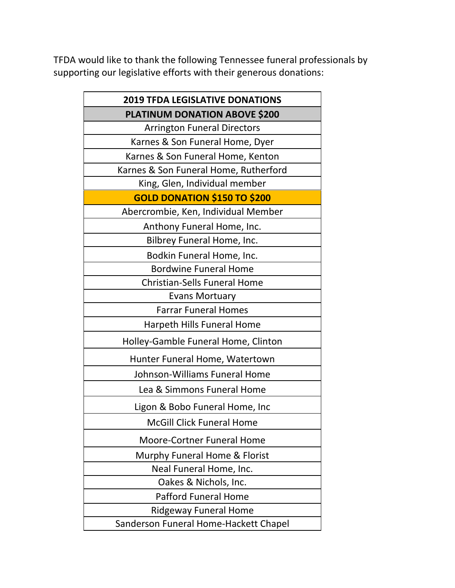TFDA would like to thank the following Tennessee funeral professionals by supporting our legislative efforts with their generous donations:

| <b>2019 TFDA LEGISLATIVE DONATIONS</b> |
|----------------------------------------|
| PLATINUM DONATION ABOVE \$200          |
| <b>Arrington Funeral Directors</b>     |
| Karnes & Son Funeral Home, Dyer        |
| Karnes & Son Funeral Home, Kenton      |
| Karnes & Son Funeral Home, Rutherford  |
| King, Glen, Individual member          |
| <b>GOLD DONATION \$150 TO \$200</b>    |
| Abercrombie, Ken, Individual Member    |
| Anthony Funeral Home, Inc.             |
| Bilbrey Funeral Home, Inc.             |
| Bodkin Funeral Home, Inc.              |
| <b>Bordwine Funeral Home</b>           |
| <b>Christian-Sells Funeral Home</b>    |
| <b>Evans Mortuary</b>                  |
| <b>Farrar Funeral Homes</b>            |
| Harpeth Hills Funeral Home             |
| Holley-Gamble Funeral Home, Clinton    |
| Hunter Funeral Home, Watertown         |
| Johnson-Williams Funeral Home          |
| Lea & Simmons Funeral Home             |
| Ligon & Bobo Funeral Home, Inc         |
| <b>McGill Click Funeral Home</b>       |
| <b>Moore-Cortner Funeral Home</b>      |
| Murphy Funeral Home & Florist          |
| Neal Funeral Home, Inc.                |
| Oakes & Nichols, Inc.                  |
| <b>Pafford Funeral Home</b>            |
| Ridgeway Funeral Home                  |
| Sanderson Funeral Home-Hackett Chapel  |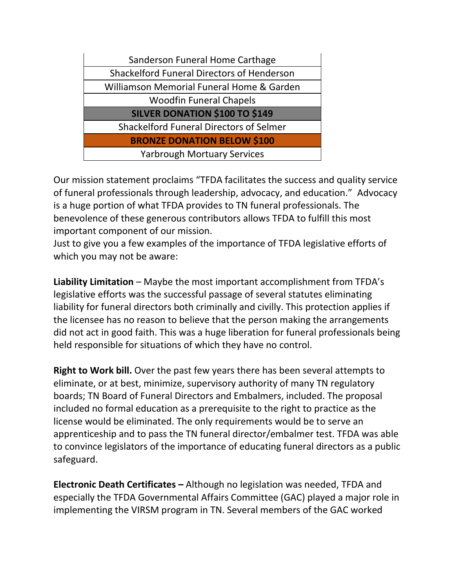| Sanderson Funeral Home Carthage                   |
|---------------------------------------------------|
| <b>Shackelford Funeral Directors of Henderson</b> |
| Williamson Memorial Funeral Home & Garden         |
| <b>Woodfin Funeral Chapels</b>                    |
|                                                   |
| <b>SILVER DONATION \$100 TO \$149</b>             |
| <b>Shackelford Funeral Directors of Selmer</b>    |
| <b>BRONZE DONATION BELOW \$100</b>                |

Our mission statement proclaims "TFDA facilitates the success and quality service of funeral professionals through leadership, advocacy, and education." Advocacy is a huge portion of what TFDA provides to TN funeral professionals. The benevolence of these generous contributors allows TFDA to fulfill this most important component of our mission.

Just to give you a few examples of the importance of TFDA legislative efforts of which you may not be aware:

**Liability Limitation** – Maybe the most important accomplishment from TFDA's legislative efforts was the successful passage of several statutes eliminating liability for funeral directors both criminally and civilly. This protection applies if the licensee has no reason to believe that the person making the arrangements did not act in good faith. This was a huge liberation for funeral professionals being held responsible for situations of which they have no control.

**Right to Work bill.** Over the past few years there has been several attempts to eliminate, or at best, minimize, supervisory authority of many TN regulatory boards; TN Board of Funeral Directors and Embalmers, included. The proposal included no formal education as a prerequisite to the right to practice as the license would be eliminated. The only requirements would be to serve an apprenticeship and to pass the TN funeral director/embalmer test. TFDA was able to convince legislators of the importance of educating funeral directors as a public safeguard.

**Electronic Death Certificates –** Although no legislation was needed, TFDA and especially the TFDA Governmental Affairs Committee (GAC) played a major role in implementing the VIRSM program in TN. Several members of the GAC worked